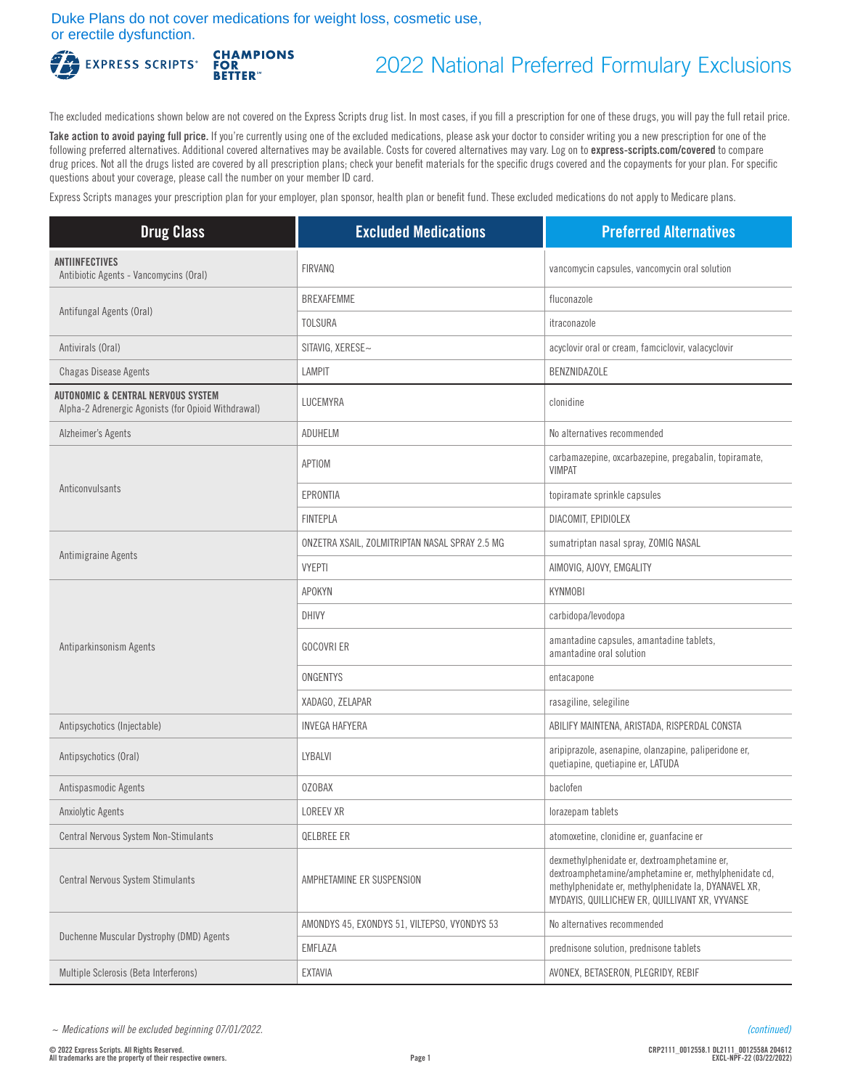Duke Plans do not cover medications for weight loss, cosmetic use, or erectile dysfunction.**CHAMPIONS<br>FOR<br>BETTER** 



2022 National Preferred Formulary Exclusions

The excluded medications shown below are not covered on the Express Scripts drug list. In most cases, if you fill a prescription for one of these drugs, you will pay the full retail price.

Take action to avoid paying full price. If you're currently using one of the excluded medications, please ask your doctor to consider writing you a new prescription for one of the following preferred alternatives. Additional covered alternatives may be available. Costs for covered alternatives may vary. Log on to **[express-scripts.com/covered](https://express-scripts.com/covered)** to compare drug prices. Not all the drugs listed are covered by all prescription plans; check your benefit materials for the specific drugs covered and the copayments for your plan. For specific questions about your coverage, please call the number on your member ID card.

Express Scripts manages your prescription plan for your employer, plan sponsor, health plan or benefit fund. These excluded medications do not apply to Medicare plans.

| <b>Drug Class</b>                                                                         | <b>Excluded Medications</b>                    | <b>Preferred Alternatives</b>                                                                                                                                                                                   |
|-------------------------------------------------------------------------------------------|------------------------------------------------|-----------------------------------------------------------------------------------------------------------------------------------------------------------------------------------------------------------------|
| <b>ANTIINFECTIVES</b><br>Antibiotic Agents - Vancomycins (Oral)                           | <b>FIRVANQ</b>                                 | vancomycin capsules, vancomycin oral solution                                                                                                                                                                   |
|                                                                                           | <b>BREXAFEMME</b>                              | fluconazole                                                                                                                                                                                                     |
| Antifungal Agents (Oral)                                                                  | <b>TOLSURA</b>                                 | itraconazole                                                                                                                                                                                                    |
| Antivirals (Oral)                                                                         | SITAVIG, XERESE~                               | acyclovir oral or cream, famciclovir, valacyclovir                                                                                                                                                              |
| Chagas Disease Agents                                                                     | <b>LAMPIT</b>                                  | <b>BENZNIDAZOLE</b>                                                                                                                                                                                             |
| AUTONOMIC & CENTRAL NERVOUS SYSTEM<br>Alpha-2 Adrenergic Agonists (for Opioid Withdrawal) | LUCEMYRA                                       | clonidine                                                                                                                                                                                                       |
| Alzheimer's Agents                                                                        | ADUHELM                                        | No alternatives recommended                                                                                                                                                                                     |
|                                                                                           | APTIOM                                         | carbamazepine, oxcarbazepine, pregabalin, topiramate,<br><b>VIMPAT</b>                                                                                                                                          |
| Anticonvulsants                                                                           | <b>EPRONTIA</b>                                | topiramate sprinkle capsules                                                                                                                                                                                    |
|                                                                                           | <b>FINTEPLA</b>                                | DIACOMIT, EPIDIOLEX                                                                                                                                                                                             |
|                                                                                           | ONZETRA XSAIL, ZOLMITRIPTAN NASAL SPRAY 2.5 MG | sumatriptan nasal spray, ZOMIG NASAL                                                                                                                                                                            |
| Antimigraine Agents                                                                       | <b>VYEPTI</b>                                  | AIMOVIG, AJOVY, EMGALITY                                                                                                                                                                                        |
|                                                                                           | <b>APOKYN</b>                                  | <b>KYNMOBI</b>                                                                                                                                                                                                  |
|                                                                                           | DHIVY                                          | carbidopa/levodopa                                                                                                                                                                                              |
| Antiparkinsonism Agents                                                                   | <b>GOCOVRI ER</b>                              | amantadine capsules, amantadine tablets,<br>amantadine oral solution                                                                                                                                            |
|                                                                                           | ONGENTYS                                       | entacapone                                                                                                                                                                                                      |
|                                                                                           | XADAGO, ZELAPAR                                | rasagiline, selegiline                                                                                                                                                                                          |
| Antipsychotics (Injectable)                                                               | <b>INVEGA HAFYERA</b>                          | ABILIFY MAINTENA, ARISTADA, RISPERDAL CONSTA                                                                                                                                                                    |
| Antipsychotics (Oral)                                                                     | LYBALVI                                        | aripiprazole, asenapine, olanzapine, paliperidone er,<br>quetiapine, quetiapine er, LATUDA                                                                                                                      |
| Antispasmodic Agents                                                                      | <b>OZOBAX</b>                                  | baclofen                                                                                                                                                                                                        |
| <b>Anxiolytic Agents</b>                                                                  | <b>LOREEV XR</b>                               | lorazepam tablets                                                                                                                                                                                               |
| Central Nervous System Non-Stimulants                                                     | QELBREE ER                                     | atomoxetine, clonidine er, guanfacine er                                                                                                                                                                        |
| <b>Central Nervous System Stimulants</b>                                                  | AMPHETAMINE ER SUSPENSION                      | dexmethylphenidate er, dextroamphetamine er,<br>dextroamphetamine/amphetamine er, methylphenidate cd,<br>methylphenidate er, methylphenidate la, DYANAVEL XR,<br>MYDAYIS, QUILLICHEW ER, QUILLIVANT XR, VYVANSE |
| Duchenne Muscular Dystrophy (DMD) Agents                                                  | AMONDYS 45, EXONDYS 51, VILTEPSO, VYONDYS 53   | No alternatives recommended                                                                                                                                                                                     |
|                                                                                           | EMFLAZA                                        | prednisone solution, prednisone tablets                                                                                                                                                                         |
| Multiple Sclerosis (Beta Interferons)                                                     | EXTAVIA                                        | AVONEX, BETASERON, PLEGRIDY, REBIF                                                                                                                                                                              |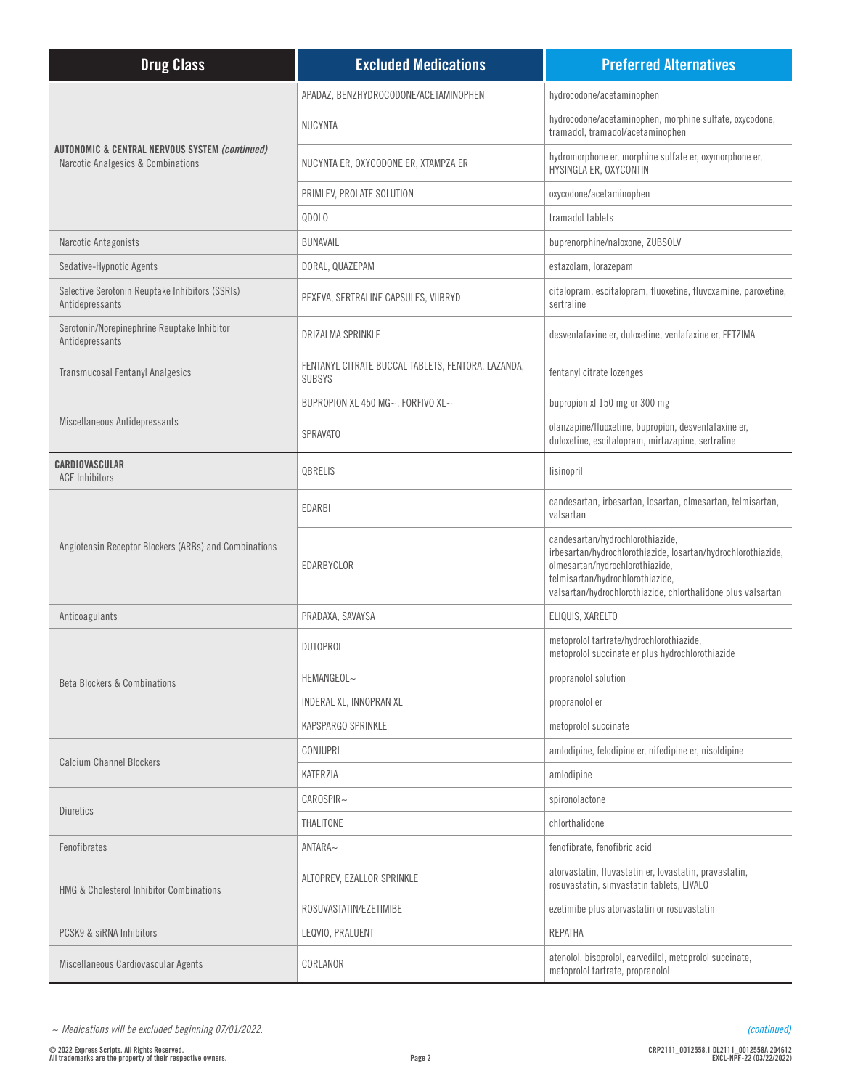| <b>Drug Class</b>                                                                               | <b>Excluded Medications</b>                                         | <b>Preferred Alternatives</b>                                                                                                                                                                                                            |
|-------------------------------------------------------------------------------------------------|---------------------------------------------------------------------|------------------------------------------------------------------------------------------------------------------------------------------------------------------------------------------------------------------------------------------|
| <b>AUTONOMIC &amp; CENTRAL NERVOUS SYSTEM (continued)</b><br>Narcotic Analgesics & Combinations | APADAZ, BENZHYDROCODONE/ACETAMINOPHEN                               | hydrocodone/acetaminophen                                                                                                                                                                                                                |
|                                                                                                 | <b>NUCYNTA</b>                                                      | hydrocodone/acetaminophen, morphine sulfate, oxycodone,<br>tramadol, tramadol/acetaminophen                                                                                                                                              |
|                                                                                                 | NUCYNTA ER, OXYCODONE ER, XTAMPZA ER                                | hydromorphone er, morphine sulfate er, oxymorphone er,<br>HYSINGLA ER, OXYCONTIN                                                                                                                                                         |
|                                                                                                 | PRIMLEV, PROLATE SOLUTION                                           | oxycodone/acetaminophen                                                                                                                                                                                                                  |
|                                                                                                 | QDOLO                                                               | tramadol tablets                                                                                                                                                                                                                         |
| Narcotic Antagonists                                                                            | <b>BUNAVAIL</b>                                                     | buprenorphine/naloxone, ZUBSOLV                                                                                                                                                                                                          |
| Sedative-Hypnotic Agents                                                                        | DORAL, QUAZEPAM                                                     | estazolam, lorazepam                                                                                                                                                                                                                     |
| Selective Serotonin Reuptake Inhibitors (SSRIs)<br>Antidepressants                              | PEXEVA, SERTRALINE CAPSULES, VIIBRYD                                | citalopram, escitalopram, fluoxetine, fluvoxamine, paroxetine,<br>sertraline                                                                                                                                                             |
| Serotonin/Norepinephrine Reuptake Inhibitor<br>Antidepressants                                  | DRIZALMA SPRINKLE                                                   | desvenlafaxine er, duloxetine, venlafaxine er, FETZIMA                                                                                                                                                                                   |
| <b>Transmucosal Fentanyl Analgesics</b>                                                         | FENTANYL CITRATE BUCCAL TABLETS, FENTORA, LAZANDA,<br><b>SUBSYS</b> | fentanyl citrate lozenges                                                                                                                                                                                                                |
|                                                                                                 | BUPROPION XL 450 MG~, FORFIVO XL~                                   | bupropion xl 150 mg or 300 mg                                                                                                                                                                                                            |
| Miscellaneous Antidepressants                                                                   | <b>SPRAVATO</b>                                                     | olanzapine/fluoxetine, bupropion, desvenlafaxine er,<br>duloxetine, escitalopram, mirtazapine, sertraline                                                                                                                                |
| CARDIOVASCULAR<br><b>ACE Inhibitors</b>                                                         | QBRELIS                                                             | lisinopril                                                                                                                                                                                                                               |
|                                                                                                 | EDARBI                                                              | candesartan, irbesartan, losartan, olmesartan, telmisartan,<br>valsartan                                                                                                                                                                 |
| Angiotensin Receptor Blockers (ARBs) and Combinations                                           | EDARBYCLOR                                                          | candesartan/hydrochlorothiazide,<br>irbesartan/hydrochlorothiazide, losartan/hydrochlorothiazide,<br>olmesartan/hydrochlorothiazide,<br>telmisartan/hydrochlorothiazide,<br>valsartan/hydrochlorothiazide, chlorthalidone plus valsartan |
| Anticoagulants                                                                                  | PRADAXA, SAVAYSA                                                    | ELIQUIS, XARELTO                                                                                                                                                                                                                         |
|                                                                                                 | <b>DUTOPROL</b>                                                     | metoprolol tartrate/hydrochlorothiazide,<br>metoprolol succinate er plus hydrochlorothiazide                                                                                                                                             |
| <b>Beta Blockers &amp; Combinations</b>                                                         | HEMANGEOL~                                                          | propranolol solution                                                                                                                                                                                                                     |
|                                                                                                 | INDERAL XL, INNOPRAN XL                                             | propranolol er                                                                                                                                                                                                                           |
|                                                                                                 | KAPSPARGO SPRINKLE                                                  | metoprolol succinate                                                                                                                                                                                                                     |
|                                                                                                 | <b>CONJUPRI</b>                                                     | amlodipine, felodipine er, nifedipine er, nisoldipine                                                                                                                                                                                    |
| <b>Calcium Channel Blockers</b>                                                                 | KATERZIA                                                            | amlodipine                                                                                                                                                                                                                               |
|                                                                                                 | CAROSPIR~                                                           | spironolactone                                                                                                                                                                                                                           |
| <b>Diuretics</b>                                                                                | THALITONE                                                           | chlorthalidone                                                                                                                                                                                                                           |
| Fenofibrates                                                                                    | ANTARA~                                                             | fenofibrate, fenofibric acid                                                                                                                                                                                                             |
| <b>HMG &amp; Cholesterol Inhibitor Combinations</b>                                             | ALTOPREV, EZALLOR SPRINKLE                                          | atorvastatin, fluvastatin er, lovastatin, pravastatin,<br>rosuvastatin, simvastatin tablets, LIVALO                                                                                                                                      |
|                                                                                                 | ROSUVASTATIN/EZETIMIBE                                              | ezetimibe plus atorvastatin or rosuvastatin                                                                                                                                                                                              |
| PCSK9 & siRNA Inhibitors                                                                        | LEQVIO, PRALUENT                                                    | REPATHA                                                                                                                                                                                                                                  |
| Miscellaneous Cardiovascular Agents                                                             | CORLANOR                                                            | atenolol, bisoprolol, carvedilol, metoprolol succinate,<br>metoprolol tartrate, propranolol                                                                                                                                              |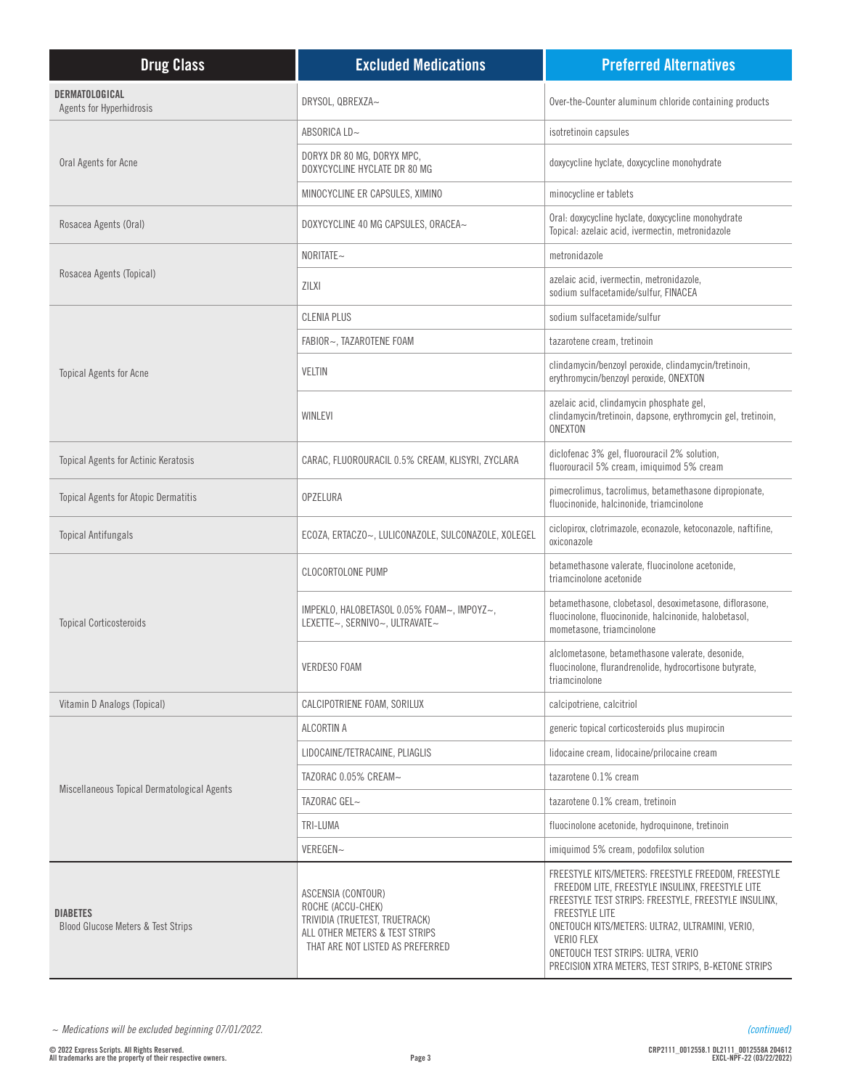| <b>Drug Class</b>                                                | <b>Excluded Medications</b>                                                                                                                     | <b>Preferred Alternatives</b>                                                                                                                                                                                                                                                                                                                           |
|------------------------------------------------------------------|-------------------------------------------------------------------------------------------------------------------------------------------------|---------------------------------------------------------------------------------------------------------------------------------------------------------------------------------------------------------------------------------------------------------------------------------------------------------------------------------------------------------|
| DERMATOLOGICAL<br>Agents for Hyperhidrosis                       | DRYSOL, QBREXZA~                                                                                                                                | Over-the-Counter aluminum chloride containing products                                                                                                                                                                                                                                                                                                  |
| Oral Agents for Acne                                             | ABSORICA LD~                                                                                                                                    | isotretinoin capsules                                                                                                                                                                                                                                                                                                                                   |
|                                                                  | DORYX DR 80 MG, DORYX MPC,<br>DOXYCYCLINE HYCLATE DR 80 MG                                                                                      | doxycycline hyclate, doxycycline monohydrate                                                                                                                                                                                                                                                                                                            |
|                                                                  | MINOCYCLINE ER CAPSULES, XIMINO                                                                                                                 | minocycline er tablets                                                                                                                                                                                                                                                                                                                                  |
| Rosacea Agents (Oral)                                            | DOXYCYCLINE 40 MG CAPSULES, ORACEA~                                                                                                             | Oral: doxycycline hyclate, doxycycline monohydrate<br>Topical: azelaic acid, ivermectin, metronidazole                                                                                                                                                                                                                                                  |
|                                                                  | NORITATE~                                                                                                                                       | metronidazole                                                                                                                                                                                                                                                                                                                                           |
| Rosacea Agents (Topical)                                         | <b>ZILXI</b>                                                                                                                                    | azelaic acid, ivermectin, metronidazole,<br>sodium sulfacetamide/sulfur, FINACEA                                                                                                                                                                                                                                                                        |
|                                                                  | <b>CLENIA PLUS</b>                                                                                                                              | sodium sulfacetamide/sulfur                                                                                                                                                                                                                                                                                                                             |
|                                                                  | FABIOR~, TAZAROTENE FOAM                                                                                                                        | tazarotene cream, tretinoin                                                                                                                                                                                                                                                                                                                             |
| <b>Topical Agents for Acne</b>                                   | <b>VELTIN</b>                                                                                                                                   | clindamycin/benzoyl peroxide, clindamycin/tretinoin,<br>erythromycin/benzoyl peroxide, ONEXTON                                                                                                                                                                                                                                                          |
|                                                                  | WINLEVI                                                                                                                                         | azelaic acid, clindamycin phosphate gel,<br>clindamycin/tretinoin, dapsone, erythromycin gel, tretinoin,<br>ONEXTON                                                                                                                                                                                                                                     |
| <b>Topical Agents for Actinic Keratosis</b>                      | CARAC, FLUOROURACIL 0.5% CREAM, KLISYRI, ZYCLARA                                                                                                | diclofenac 3% gel, fluorouracil 2% solution,<br>fluorouracil 5% cream, imiquimod 5% cream                                                                                                                                                                                                                                                               |
| <b>Topical Agents for Atopic Dermatitis</b>                      | OPZELURA                                                                                                                                        | pimecrolimus, tacrolimus, betamethasone dipropionate,<br>fluocinonide, halcinonide, triamcinolone                                                                                                                                                                                                                                                       |
| <b>Topical Antifungals</b>                                       | ECOZA, ERTACZO~, LULICONAZOLE, SULCONAZOLE, XOLEGEL                                                                                             | ciclopirox, clotrimazole, econazole, ketoconazole, naftifine,<br>oxiconazole                                                                                                                                                                                                                                                                            |
|                                                                  | <b>CLOCORTOLONE PUMP</b>                                                                                                                        | betamethasone valerate, fluocinolone acetonide,<br>triamcinolone acetonide                                                                                                                                                                                                                                                                              |
| <b>Topical Corticosteroids</b>                                   | IMPEKLO, HALOBETASOL 0.05% FOAM~, IMPOYZ~,<br>LEXETTE~, SERNIVO~, ULTRAVATE~                                                                    | betamethasone, clobetasol, desoximetasone, diflorasone,<br>fluocinolone, fluocinonide, halcinonide, halobetasol,<br>mometasone, triamcinolone                                                                                                                                                                                                           |
|                                                                  | <b>VERDESO FOAM</b>                                                                                                                             | alclometasone, betamethasone valerate, desonide,<br>fluocinolone, flurandrenolide, hydrocortisone butyrate,<br>triamcinolone                                                                                                                                                                                                                            |
| Vitamin D Analogs (Topical)                                      | CALCIPOTRIENE FOAM, SORILUX                                                                                                                     | calcipotriene, calcitriol                                                                                                                                                                                                                                                                                                                               |
|                                                                  | ALCORTIN A                                                                                                                                      | generic topical corticosteroids plus mupirocin                                                                                                                                                                                                                                                                                                          |
|                                                                  | LIDOCAINE/TETRACAINE, PLIAGLIS                                                                                                                  | lidocaine cream, lidocaine/prilocaine cream                                                                                                                                                                                                                                                                                                             |
|                                                                  | TAZORAC 0.05% CREAM~                                                                                                                            | tazarotene 0.1% cream                                                                                                                                                                                                                                                                                                                                   |
| Miscellaneous Topical Dermatological Agents                      | TAZORAC GEL~                                                                                                                                    | tazarotene 0.1% cream, tretinoin                                                                                                                                                                                                                                                                                                                        |
|                                                                  | TRI-LUMA                                                                                                                                        | fluocinolone acetonide, hydroquinone, tretinoin                                                                                                                                                                                                                                                                                                         |
|                                                                  | VEREGEN~                                                                                                                                        | imiquimod 5% cream, podofilox solution                                                                                                                                                                                                                                                                                                                  |
| <b>DIABETES</b><br><b>Blood Glucose Meters &amp; Test Strips</b> | ASCENSIA (CONTOUR)<br>ROCHE (ACCU-CHEK)<br>TRIVIDIA (TRUETEST, TRUETRACK)<br>ALL OTHER METERS & TEST STRIPS<br>THAT ARE NOT LISTED AS PREFERRED | FREESTYLE KITS/METERS: FREESTYLE FREEDOM, FREESTYLE<br>FREEDOM LITE, FREESTYLE INSULINX, FREESTYLE LITE<br>FREESTYLE TEST STRIPS: FREESTYLE, FREESTYLE INSULINX,<br><b>FREESTYLE LITE</b><br>ONETOUCH KITS/METERS: ULTRA2, ULTRAMINI, VERIO,<br>VERIO FLEX<br>ONETOUCH TEST STRIPS: ULTRA, VERIO<br>PRECISION XTRA METERS, TEST STRIPS, B-KETONE STRIPS |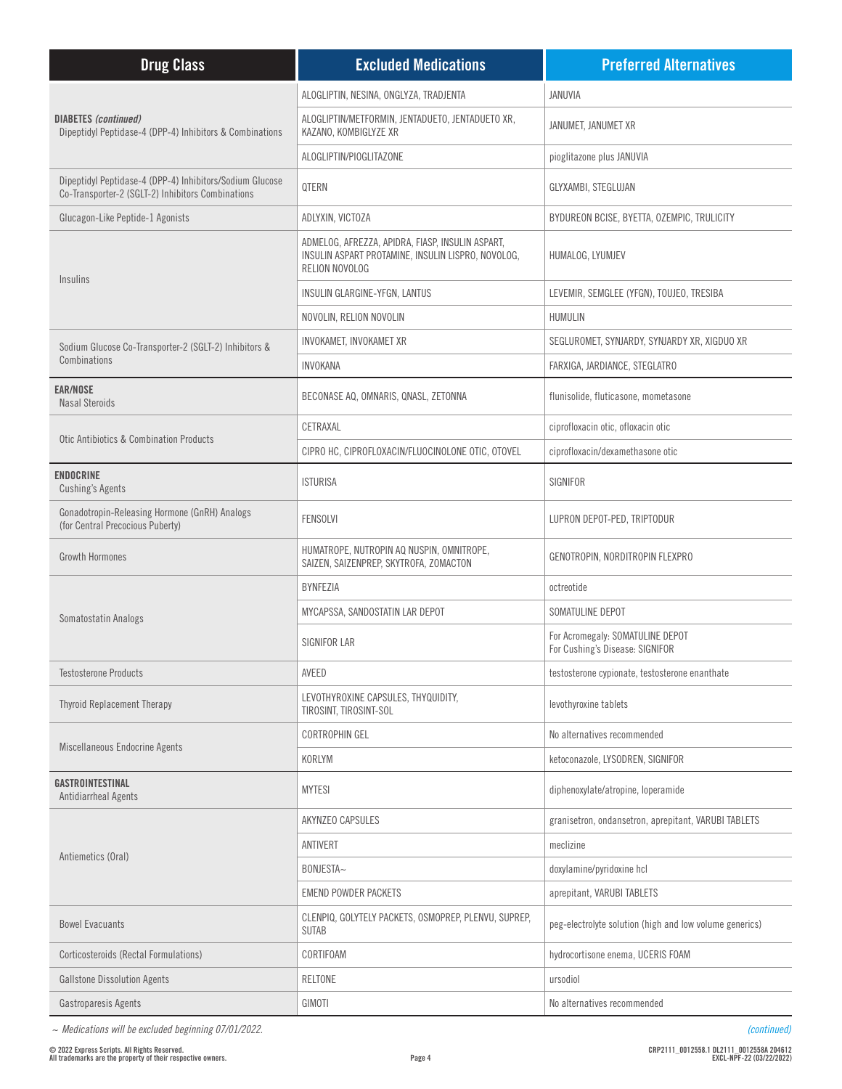| <b>Drug Class</b>                                                                                             | <b>Excluded Medications</b>                                                                                              | <b>Preferred Alternatives</b>                                       |
|---------------------------------------------------------------------------------------------------------------|--------------------------------------------------------------------------------------------------------------------------|---------------------------------------------------------------------|
| <b>DIABETES</b> (continued)<br>Dipeptidyl Peptidase-4 (DPP-4) Inhibitors & Combinations                       | ALOGLIPTIN, NESINA, ONGLYZA, TRADJENTA                                                                                   | JANUVIA                                                             |
|                                                                                                               | ALOGLIPTIN/METFORMIN, JENTADUETO, JENTADUETO XR,<br>KAZANO, KOMBIGLYZE XR                                                | JANUMET, JANUMET XR                                                 |
|                                                                                                               | ALOGLIPTIN/PIOGLITAZONE                                                                                                  | pioglitazone plus JANUVIA                                           |
| Dipeptidyl Peptidase-4 (DPP-4) Inhibitors/Sodium Glucose<br>Co-Transporter-2 (SGLT-2) Inhibitors Combinations | <b>QTERN</b>                                                                                                             | GLYXAMBI, STEGLUJAN                                                 |
| Glucagon-Like Peptide-1 Agonists                                                                              | ADLYXIN, VICTOZA                                                                                                         | BYDUREON BCISE, BYETTA, OZEMPIC, TRULICITY                          |
| Insulins                                                                                                      | ADMELOG, AFREZZA, APIDRA, FIASP, INSULIN ASPART,<br>INSULIN ASPART PROTAMINE, INSULIN LISPRO, NOVOLOG,<br>RELION NOVOLOG | HUMALOG, LYUMJEV                                                    |
|                                                                                                               | INSULIN GLARGINE-YFGN, LANTUS                                                                                            | LEVEMIR, SEMGLEE (YFGN), TOUJEO, TRESIBA                            |
|                                                                                                               | NOVOLIN, RELION NOVOLIN                                                                                                  | HUMULIN                                                             |
| Sodium Glucose Co-Transporter-2 (SGLT-2) Inhibitors &                                                         | INVOKAMET, INVOKAMET XR                                                                                                  | SEGLUROMET, SYNJARDY, SYNJARDY XR, XIGDUO XR                        |
| Combinations                                                                                                  | <b>INVOKANA</b>                                                                                                          | FARXIGA, JARDIANCE, STEGLATRO                                       |
| <b>EAR/NOSE</b><br><b>Nasal Steroids</b>                                                                      | BECONASE AQ, OMNARIS, QNASL, ZETONNA                                                                                     | flunisolide, fluticasone, mometasone                                |
| Otic Antibiotics & Combination Products                                                                       | CETRAXAL                                                                                                                 | ciprofloxacin otic, ofloxacin otic                                  |
|                                                                                                               | CIPRO HC, CIPROFLOXACIN/FLUOCINOLONE OTIC, OTOVEL                                                                        | ciprofloxacin/dexamethasone otic                                    |
| <b>ENDOCRINE</b><br><b>Cushing's Agents</b>                                                                   | <b>ISTURISA</b>                                                                                                          | SIGNIFOR                                                            |
| Gonadotropin-Releasing Hormone (GnRH) Analogs<br>(for Central Precocious Puberty)                             | <b>FENSOLVI</b>                                                                                                          | LUPRON DEPOT-PED, TRIPTODUR                                         |
| <b>Growth Hormones</b>                                                                                        | HUMATROPE, NUTROPIN AQ NUSPIN, OMNITROPE,<br>SAIZEN, SAIZENPREP, SKYTROFA, ZOMACTON                                      | GENOTROPIN, NORDITROPIN FLEXPRO                                     |
|                                                                                                               | <b>BYNFEZIA</b>                                                                                                          | octreotide                                                          |
| Somatostatin Analogs                                                                                          | MYCAPSSA, SANDOSTATIN LAR DEPOT                                                                                          | SOMATULINE DEPOT                                                    |
|                                                                                                               | SIGNIFOR LAR                                                                                                             | For Acromegaly: SOMATULINE DEPOT<br>For Cushing's Disease: SIGNIFOR |
| <b>Testosterone Products</b>                                                                                  | AVEED                                                                                                                    | testosterone cypionate, testosterone enanthate                      |
| <b>Thyroid Replacement Therapy</b>                                                                            | LEVOTHYROXINE CAPSULES, THYQUIDITY,<br>TIROSINT, TIROSINT-SOL                                                            | levothyroxine tablets                                               |
|                                                                                                               | <b>CORTROPHIN GEL</b>                                                                                                    | No alternatives recommended                                         |
| Miscellaneous Endocrine Agents                                                                                | KORLYM                                                                                                                   | ketoconazole, LYSODREN, SIGNIFOR                                    |
| GASTROINTESTINAL<br>Antidiarrheal Agents                                                                      | <b>MYTESI</b>                                                                                                            | diphenoxylate/atropine, loperamide                                  |
|                                                                                                               | AKYNZEO CAPSULES                                                                                                         | granisetron, ondansetron, aprepitant, VARUBI TABLETS                |
|                                                                                                               | ANTIVERT                                                                                                                 | meclizine                                                           |
| Antiemetics (Oral)                                                                                            | BONJESTA~                                                                                                                | doxylamine/pyridoxine hcl                                           |
|                                                                                                               | <b>EMEND POWDER PACKETS</b>                                                                                              | aprepitant, VARUBI TABLETS                                          |
| <b>Bowel Evacuants</b>                                                                                        | CLENPIQ, GOLYTELY PACKETS, OSMOPREP, PLENVU, SUPREP,<br><b>SUTAB</b>                                                     | peg-electrolyte solution (high and low volume generics)             |
| Corticosteroids (Rectal Formulations)                                                                         | CORTIFOAM                                                                                                                | hydrocortisone enema, UCERIS FOAM                                   |
| <b>Gallstone Dissolution Agents</b>                                                                           | RELTONE                                                                                                                  | ursodiol                                                            |
| Gastroparesis Agents                                                                                          | GIMOTI                                                                                                                   | No alternatives recommended                                         |

*~ Medications will be excluded beginning 07/01/2022.*

*(continued)*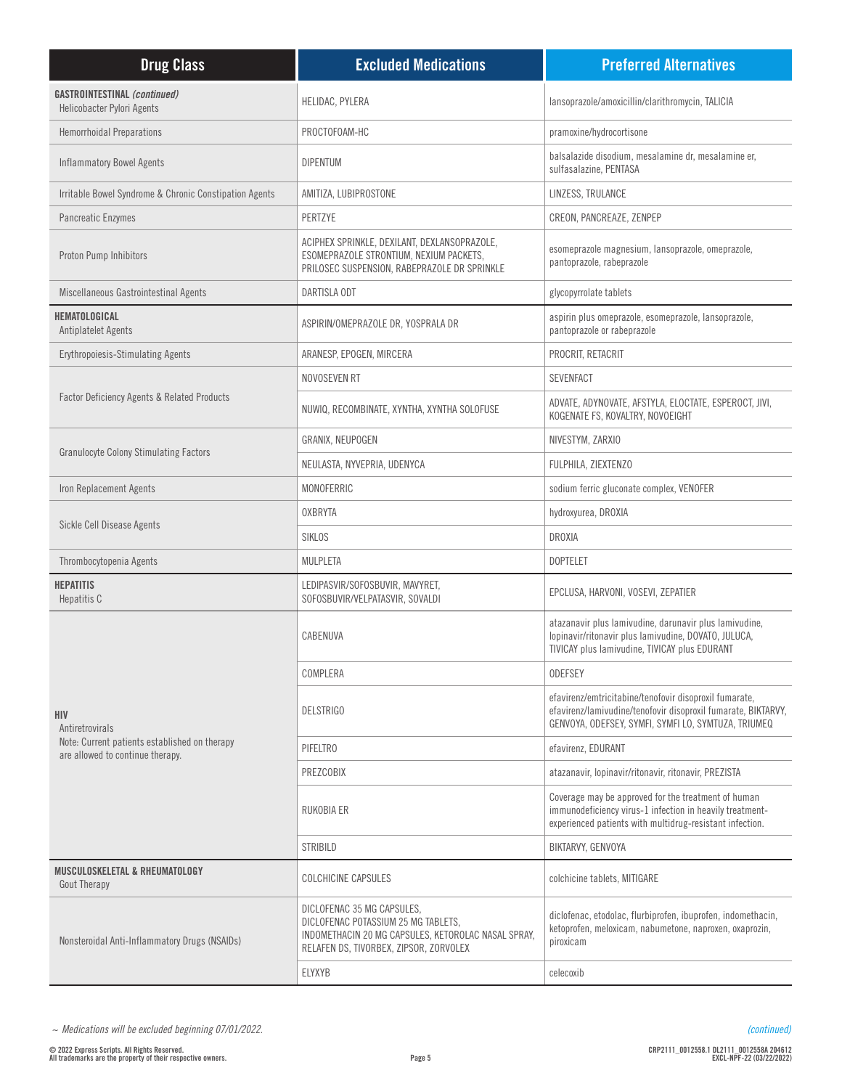| <b>Drug Class</b>                                                                 | <b>Excluded Medications</b>                                                                                                                                        | <b>Preferred Alternatives</b>                                                                                                                                                  |
|-----------------------------------------------------------------------------------|--------------------------------------------------------------------------------------------------------------------------------------------------------------------|--------------------------------------------------------------------------------------------------------------------------------------------------------------------------------|
| <b>GASTROINTESTINAL (continued)</b><br>Helicobacter Pylori Agents                 | HELIDAC, PYLERA                                                                                                                                                    | lansoprazole/amoxicillin/clarithromycin, TALICIA                                                                                                                               |
| <b>Hemorrhoidal Preparations</b>                                                  | PROCTOFOAM-HC                                                                                                                                                      | pramoxine/hydrocortisone                                                                                                                                                       |
| <b>Inflammatory Bowel Agents</b>                                                  | <b>DIPENTUM</b>                                                                                                                                                    | balsalazide disodium, mesalamine dr, mesalamine er,<br>sulfasalazine, PENTASA                                                                                                  |
| Irritable Bowel Syndrome & Chronic Constipation Agents                            | AMITIZA, LUBIPROSTONE                                                                                                                                              | LINZESS, TRULANCE                                                                                                                                                              |
| <b>Pancreatic Enzymes</b>                                                         | PERTZYE                                                                                                                                                            | CREON, PANCREAZE, ZENPEP                                                                                                                                                       |
| Proton Pump Inhibitors                                                            | ACIPHEX SPRINKLE, DEXILANT, DEXLANSOPRAZOLE,<br>ESOMEPRAZOLE STRONTIUM, NEXIUM PACKETS,<br>PRILOSEC SUSPENSION, RABEPRAZOLE DR SPRINKLE                            | esomeprazole magnesium, lansoprazole, omeprazole,<br>pantoprazole, rabeprazole                                                                                                 |
| Miscellaneous Gastrointestinal Agents                                             | DARTISLA ODT                                                                                                                                                       | glycopyrrolate tablets                                                                                                                                                         |
| HEMATOLOGICAL<br>Antiplatelet Agents                                              | ASPIRIN/OMEPRAZOLE DR, YOSPRALA DR                                                                                                                                 | aspirin plus omeprazole, esomeprazole, lansoprazole,<br>pantoprazole or rabeprazole                                                                                            |
| <b>Erythropoiesis-Stimulating Agents</b>                                          | ARANESP, EPOGEN, MIRCERA                                                                                                                                           | PROCRIT, RETACRIT                                                                                                                                                              |
|                                                                                   | NOVOSEVEN RT                                                                                                                                                       | <b>SEVENFACT</b>                                                                                                                                                               |
| <b>Factor Deficiency Agents &amp; Related Products</b>                            | NUWIQ, RECOMBINATE, XYNTHA, XYNTHA SOLOFUSE                                                                                                                        | ADVATE, ADYNOVATE, AFSTYLA, ELOCTATE, ESPEROCT, JIVI,<br>KOGENATE FS, KOVALTRY, NOVOEIGHT                                                                                      |
|                                                                                   | GRANIX, NEUPOGEN                                                                                                                                                   | NIVESTYM, ZARXIO                                                                                                                                                               |
| <b>Granulocyte Colony Stimulating Factors</b>                                     | NEULASTA, NYVEPRIA, UDENYCA                                                                                                                                        | FULPHILA, ZIEXTENZO                                                                                                                                                            |
| Iron Replacement Agents                                                           | MONOFERRIC                                                                                                                                                         | sodium ferric gluconate complex, VENOFER                                                                                                                                       |
| Sickle Cell Disease Agents                                                        | <b>OXBRYTA</b>                                                                                                                                                     | hydroxyurea, DROXIA                                                                                                                                                            |
|                                                                                   | <b>SIKLOS</b>                                                                                                                                                      | DROXIA                                                                                                                                                                         |
| Thrombocytopenia Agents                                                           | MULPLETA                                                                                                                                                           | <b>DOPTELET</b>                                                                                                                                                                |
| <b>HEPATITIS</b><br>Hepatitis C                                                   | LEDIPASVIR/SOFOSBUVIR, MAVYRET,<br>SOFOSBUVIR/VELPATASVIR, SOVALDI                                                                                                 | EPCLUSA, HARVONI, VOSEVI, ZEPATIER                                                                                                                                             |
|                                                                                   | CABENUVA                                                                                                                                                           | atazanavir plus lamivudine, darunavir plus lamivudine,<br>lopinavir/ritonavir plus lamivudine, DOVATO, JULUCA,<br>TIVICAY plus lamivudine, TIVICAY plus EDURANT                |
|                                                                                   | COMPLERA                                                                                                                                                           | <b>ODEFSEY</b>                                                                                                                                                                 |
| <b>HIV</b><br>Antiretrovirals                                                     | <b>DELSTRIGO</b>                                                                                                                                                   | efavirenz/emtricitabine/tenofovir disoproxil fumarate,<br>efavirenz/lamivudine/tenofovir disoproxil fumarate, BIKTARVY,<br>GENVOYA, ODEFSEY, SYMFI, SYMFI LO, SYMTUZA, TRIUMEQ |
| Note: Current patients established on therapy<br>are allowed to continue therapy. | PIFELTRO                                                                                                                                                           | efavirenz, EDURANT                                                                                                                                                             |
|                                                                                   | PREZCOBIX                                                                                                                                                          | atazanavir, lopinavir/ritonavir, ritonavir, PREZISTA                                                                                                                           |
|                                                                                   | RUKOBIA ER                                                                                                                                                         | Coverage may be approved for the treatment of human<br>immunodeficiency virus-1 infection in heavily treatment-<br>experienced patients with multidrug-resistant infection.    |
|                                                                                   | STRIBILD                                                                                                                                                           | BIKTARVY, GENVOYA                                                                                                                                                              |
| MUSCULOSKELETAL & RHEUMATOLOGY<br><b>Gout Therapy</b>                             | <b>COLCHICINE CAPSULES</b>                                                                                                                                         | colchicine tablets, MITIGARE                                                                                                                                                   |
| Nonsteroidal Anti-Inflammatory Drugs (NSAIDs)                                     | DICLOFENAC 35 MG CAPSULES,<br>DICLOFENAC POTASSIUM 25 MG TABLETS,<br>INDOMETHACIN 20 MG CAPSULES, KETOROLAC NASAL SPRAY,<br>RELAFEN DS, TIVORBEX, ZIPSOR, ZORVOLEX | diclofenac, etodolac, flurbiprofen, ibuprofen, indomethacin,<br>ketoprofen, meloxicam, nabumetone, naproxen, oxaprozin,<br>piroxicam                                           |
|                                                                                   | ELYXYB                                                                                                                                                             | celecoxib                                                                                                                                                                      |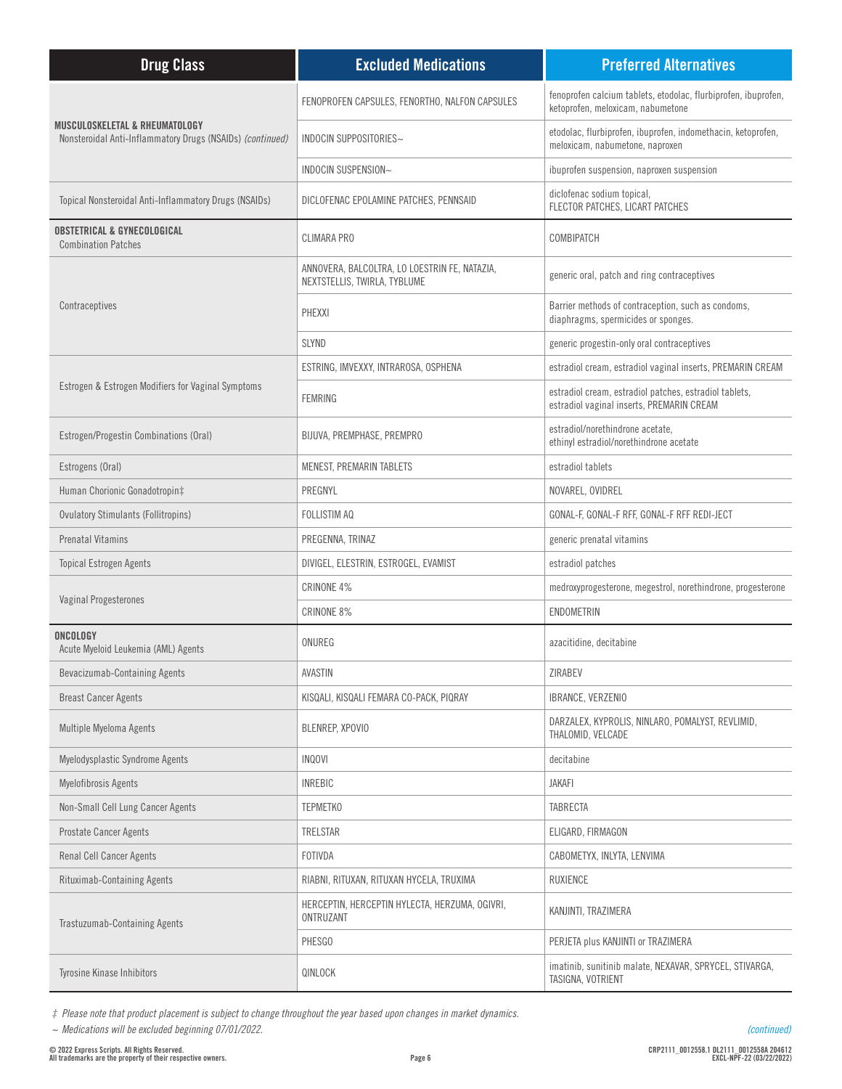| <b>Drug Class</b>                                                                                      | <b>Excluded Medications</b>                                                   | <b>Preferred Alternatives</b>                                                                       |
|--------------------------------------------------------------------------------------------------------|-------------------------------------------------------------------------------|-----------------------------------------------------------------------------------------------------|
| <b>MUSCULOSKELETAL &amp; RHEUMATOLOGY</b><br>Nonsteroidal Anti-Inflammatory Drugs (NSAIDs) (continued) | FENOPROFEN CAPSULES, FENORTHO, NALFON CAPSULES                                | fenoprofen calcium tablets, etodolac, flurbiprofen, ibuprofen,<br>ketoprofen, meloxicam, nabumetone |
|                                                                                                        | INDOCIN SUPPOSITORIES~                                                        | etodolac, flurbiprofen, ibuprofen, indomethacin, ketoprofen,<br>meloxicam, nabumetone, naproxen     |
|                                                                                                        | INDOCIN SUSPENSION~                                                           | ibuprofen suspension, naproxen suspension                                                           |
| Topical Nonsteroidal Anti-Inflammatory Drugs (NSAIDs)                                                  | DICLOFENAC EPOLAMINE PATCHES, PENNSAID                                        | diclofenac sodium topical,<br>FLECTOR PATCHES, LICART PATCHES                                       |
| <b>OBSTETRICAL &amp; GYNECOLOGICAL</b><br><b>Combination Patches</b>                                   | <b>CLIMARA PRO</b>                                                            | COMBIPATCH                                                                                          |
|                                                                                                        | ANNOVERA, BALCOLTRA, LO LOESTRIN FE, NATAZIA,<br>NEXTSTELLIS, TWIRLA, TYBLUME | generic oral, patch and ring contraceptives                                                         |
| Contraceptives                                                                                         | PHEXXI                                                                        | Barrier methods of contraception, such as condoms,<br>diaphragms, spermicides or sponges.           |
|                                                                                                        | <b>SLYND</b>                                                                  | generic progestin-only oral contraceptives                                                          |
|                                                                                                        | ESTRING, IMVEXXY, INTRAROSA, OSPHENA                                          | estradiol cream, estradiol vaginal inserts, PREMARIN CREAM                                          |
| Estrogen & Estrogen Modifiers for Vaginal Symptoms                                                     | <b>FEMRING</b>                                                                | estradiol cream, estradiol patches, estradiol tablets,<br>estradiol vaginal inserts, PREMARIN CREAM |
| Estrogen/Progestin Combinations (Oral)                                                                 | BIJUVA, PREMPHASE, PREMPRO                                                    | estradiol/norethindrone acetate,<br>ethinyl estradiol/norethindrone acetate                         |
| Estrogens (Oral)                                                                                       | MENEST, PREMARIN TABLETS                                                      | estradiol tablets                                                                                   |
| Human Chorionic Gonadotropin‡                                                                          | PREGNYL                                                                       | NOVAREL, OVIDREL                                                                                    |
| <b>Ovulatory Stimulants (Follitropins)</b>                                                             | FOLLISTIM AQ                                                                  | GONAL-F, GONAL-F RFF, GONAL-F RFF REDI-JECT                                                         |
| <b>Prenatal Vitamins</b>                                                                               | PREGENNA, TRINAZ                                                              | generic prenatal vitamins                                                                           |
| <b>Topical Estrogen Agents</b>                                                                         | DIVIGEL, ELESTRIN, ESTROGEL, EVAMIST                                          | estradiol patches                                                                                   |
|                                                                                                        | CRINONE 4%                                                                    | medroxyprogesterone, megestrol, norethindrone, progesterone                                         |
| Vaginal Progesterones                                                                                  | CRINONE 8%                                                                    | ENDOMETRIN                                                                                          |
| ONCOLOGY<br>Acute Myeloid Leukemia (AML) Agents                                                        | ONUREG                                                                        | azacitidine, decitabine                                                                             |
| Bevacizumab-Containing Agents                                                                          | AVASTIN                                                                       | ZIRABEV                                                                                             |
| <b>Breast Cancer Agents</b>                                                                            | KISQALI, KISQALI FEMARA CO-PACK, PIQRAY                                       | IBRANCE, VERZENIO                                                                                   |
| Multiple Myeloma Agents                                                                                | BLENREP, XPOVIO                                                               | DARZALEX, KYPROLIS, NINLARO, POMALYST, REVLIMID,<br>THALOMID, VELCADE                               |
| Myelodysplastic Syndrome Agents                                                                        | <b>INQOVI</b>                                                                 | decitabine                                                                                          |
| <b>Myelofibrosis Agents</b>                                                                            | <b>INREBIC</b>                                                                | <b>JAKAFI</b>                                                                                       |
| Non-Small Cell Lung Cancer Agents                                                                      | <b>TEPMETKO</b>                                                               | TABRECTA                                                                                            |
| Prostate Cancer Agents                                                                                 | TRELSTAR                                                                      | ELIGARD, FIRMAGON                                                                                   |
| Renal Cell Cancer Agents                                                                               | FOTIVDA                                                                       | CABOMETYX, INLYTA, LENVIMA                                                                          |
| Rituximab-Containing Agents                                                                            | RIABNI, RITUXAN, RITUXAN HYCELA, TRUXIMA                                      | <b>RUXIENCE</b>                                                                                     |
| Trastuzumab-Containing Agents                                                                          | HERCEPTIN, HERCEPTIN HYLECTA, HERZUMA, OGIVRI,<br>ONTRUZANT                   | KANJINTI, TRAZIMERA                                                                                 |
|                                                                                                        | PHESGO                                                                        | PERJETA plus KANJINTI or TRAZIMERA                                                                  |
| Tyrosine Kinase Inhibitors                                                                             | QINLOCK                                                                       | imatinib, sunitinib malate, NEXAVAR, SPRYCEL, STIVARGA,<br>TASIGNA, VOTRIENT                        |

*‡ Please note that product placement is subject to change throughout the year based upon changes in market dynamics.*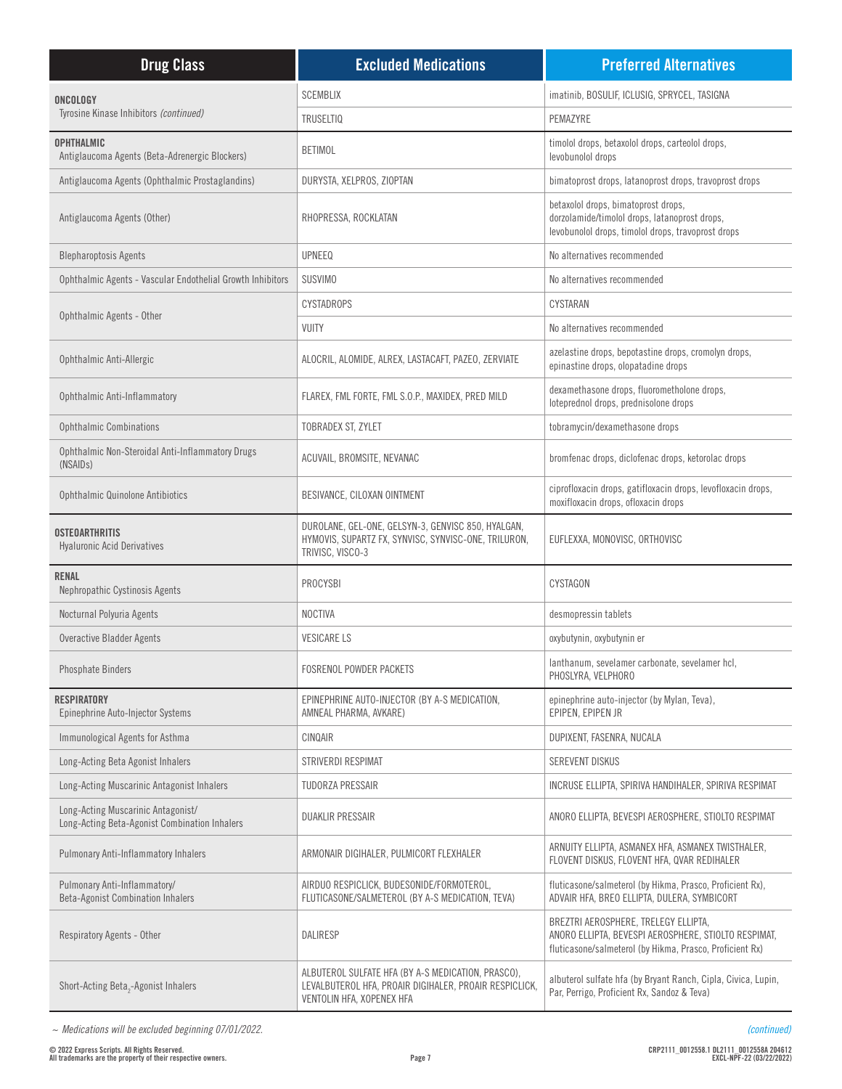| <b>Drug Class</b>                                                                   | <b>Excluded Medications</b>                                                                                                               | <b>Preferred Alternatives</b>                                                                                                                            |
|-------------------------------------------------------------------------------------|-------------------------------------------------------------------------------------------------------------------------------------------|----------------------------------------------------------------------------------------------------------------------------------------------------------|
| ONCOLOGY                                                                            | <b>SCEMBLIX</b>                                                                                                                           | imatinib, BOSULIF, ICLUSIG, SPRYCEL, TASIGNA                                                                                                             |
| Tyrosine Kinase Inhibitors (continued)                                              | <b>TRUSELTIQ</b>                                                                                                                          | PEMAZYRE                                                                                                                                                 |
| <b>OPHTHALMIC</b><br>Antiglaucoma Agents (Beta-Adrenergic Blockers)                 | <b>BETIMOL</b>                                                                                                                            | timolol drops, betaxolol drops, carteolol drops,<br>levobunolol drops                                                                                    |
| Antiglaucoma Agents (Ophthalmic Prostaglandins)                                     | DURYSTA, XELPROS, ZIOPTAN                                                                                                                 | bimatoprost drops, latanoprost drops, travoprost drops                                                                                                   |
| Antiglaucoma Agents (Other)                                                         | RHOPRESSA, ROCKLATAN                                                                                                                      | betaxolol drops, bimatoprost drops,<br>dorzolamide/timolol drops, latanoprost drops,<br>levobunolol drops, timolol drops, travoprost drops               |
| <b>Blepharoptosis Agents</b>                                                        | <b>UPNEEQ</b>                                                                                                                             | No alternatives recommended                                                                                                                              |
| Ophthalmic Agents - Vascular Endothelial Growth Inhibitors                          | <b>SUSVIMO</b>                                                                                                                            | No alternatives recommended                                                                                                                              |
| Ophthalmic Agents - Other                                                           | CYSTADROPS                                                                                                                                | CYSTARAN                                                                                                                                                 |
|                                                                                     | <b>VUITY</b>                                                                                                                              | No alternatives recommended                                                                                                                              |
| Ophthalmic Anti-Allergic                                                            | ALOCRIL, ALOMIDE, ALREX, LASTACAFT, PAZEO, ZERVIATE                                                                                       | azelastine drops, bepotastine drops, cromolyn drops,<br>epinastine drops, olopatadine drops                                                              |
| Ophthalmic Anti-Inflammatory                                                        | FLAREX, FML FORTE, FML S.O.P., MAXIDEX, PRED MILD                                                                                         | dexamethasone drops, fluorometholone drops,<br>loteprednol drops, prednisolone drops                                                                     |
| <b>Ophthalmic Combinations</b>                                                      | TOBRADEX ST, ZYLET                                                                                                                        | tobramycin/dexamethasone drops                                                                                                                           |
| Ophthalmic Non-Steroidal Anti-Inflammatory Drugs<br>(NSAID <sub>s</sub> )           | ACUVAIL, BROMSITE, NEVANAC                                                                                                                | bromfenac drops, diclofenac drops, ketorolac drops                                                                                                       |
| Ophthalmic Quinolone Antibiotics                                                    | BESIVANCE, CILOXAN OINTMENT                                                                                                               | ciprofloxacin drops, gatifloxacin drops, levofloxacin drops,<br>moxifloxacin drops, ofloxacin drops                                                      |
| OSTEOARTHRITIS<br><b>Hyaluronic Acid Derivatives</b>                                | DUROLANE, GEL-ONE, GELSYN-3, GENVISC 850, HYALGAN,<br>HYMOVIS, SUPARTZ FX, SYNVISC, SYNVISC-ONE, TRILURON,<br>TRIVISC, VISCO-3            | EUFLEXXA, MONOVISC, ORTHOVISC                                                                                                                            |
| <b>RENAL</b><br>Nephropathic Cystinosis Agents                                      | <b>PROCYSBI</b>                                                                                                                           | CYSTAGON                                                                                                                                                 |
| Nocturnal Polyuria Agents                                                           | <b>NOCTIVA</b>                                                                                                                            | desmopressin tablets                                                                                                                                     |
| <b>Overactive Bladder Agents</b>                                                    | <b>VESICARE LS</b>                                                                                                                        | oxybutynin, oxybutynin er                                                                                                                                |
| <b>Phosphate Binders</b>                                                            | <b>FOSRENOL POWDER PACKETS</b>                                                                                                            | lanthanum, sevelamer carbonate, sevelamer hcl,<br>PHOSLYRA, VELPHORO                                                                                     |
| <b>RESPIRATORY</b><br>Epinephrine Auto-Injector Systems                             | EPINEPHRINE AUTO-INJECTOR (BY A-S MEDICATION,<br>AMNEAL PHARMA, AVKARE)                                                                   | epinephrine auto-injector (by Mylan, Teva),<br>EPIPEN, EPIPEN JR                                                                                         |
| Immunological Agents for Asthma                                                     | CINQAIR                                                                                                                                   | DUPIXENT, FASENRA, NUCALA                                                                                                                                |
| Long-Acting Beta Agonist Inhalers                                                   | STRIVERDI RESPIMAT                                                                                                                        | <b>SEREVENT DISKUS</b>                                                                                                                                   |
| Long-Acting Muscarinic Antagonist Inhalers                                          | <b>TUDORZA PRESSAIR</b>                                                                                                                   | INCRUSE ELLIPTA, SPIRIVA HANDIHALER, SPIRIVA RESPIMAT                                                                                                    |
| Long-Acting Muscarinic Antagonist/<br>Long-Acting Beta-Agonist Combination Inhalers | <b>DUAKLIR PRESSAIR</b>                                                                                                                   | ANORO ELLIPTA, BEVESPI AEROSPHERE, STIOLTO RESPIMAT                                                                                                      |
| Pulmonary Anti-Inflammatory Inhalers                                                | ARMONAIR DIGIHALER, PULMICORT FLEXHALER                                                                                                   | ARNUITY ELLIPTA, ASMANEX HFA, ASMANEX TWISTHALER,<br>FLOVENT DISKUS, FLOVENT HFA, QVAR REDIHALER                                                         |
| Pulmonary Anti-Inflammatory/<br><b>Beta-Agonist Combination Inhalers</b>            | AIRDUO RESPICLICK, BUDESONIDE/FORMOTEROL,<br>FLUTICASONE/SALMETEROL (BY A-S MEDICATION, TEVA)                                             | fluticasone/salmeterol (by Hikma, Prasco, Proficient Rx),<br>ADVAIR HFA, BREO ELLIPTA, DULERA, SYMBICORT                                                 |
| Respiratory Agents - Other                                                          | <b>DALIRESP</b>                                                                                                                           | BREZTRI AEROSPHERE, TRELEGY ELLIPTA,<br>ANORO ELLIPTA, BEVESPI AEROSPHERE, STIOLTO RESPIMAT,<br>fluticasone/salmeterol (by Hikma, Prasco, Proficient Rx) |
| Short-Acting Beta <sub>2</sub> -Agonist Inhalers                                    | ALBUTEROL SULFATE HFA (BY A-S MEDICATION, PRASCO),<br>LEVALBUTEROL HFA, PROAIR DIGIHALER, PROAIR RESPICLICK,<br>VENTOLIN HFA, XOPENEX HFA | albuterol sulfate hfa (by Bryant Ranch, Cipla, Civica, Lupin,<br>Par, Perrigo, Proficient Rx, Sandoz & Teva)                                             |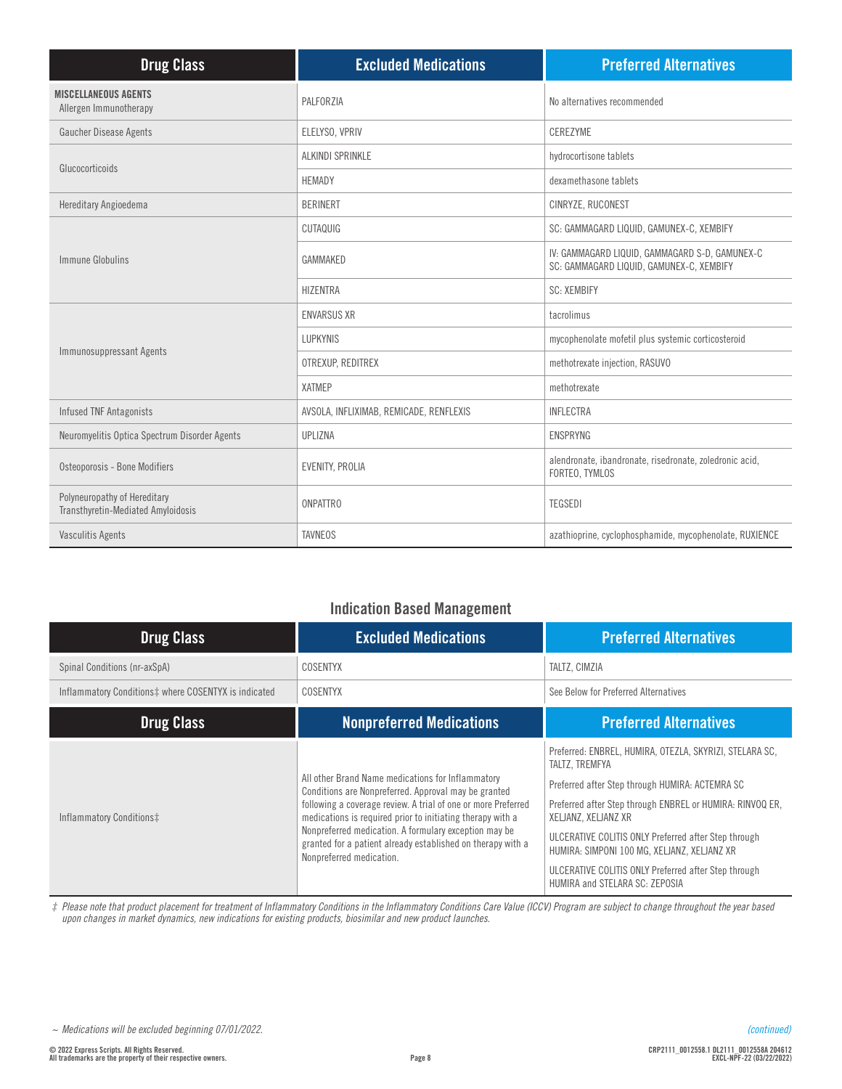| <b>Drug Class</b>                                                  | <b>Excluded Medications</b>             | <b>Preferred Alternatives</b>                                                              |
|--------------------------------------------------------------------|-----------------------------------------|--------------------------------------------------------------------------------------------|
| <b>MISCELLANEOUS AGENTS</b><br>Allergen Immunotherapy              | PALFORZIA                               | No alternatives recommended                                                                |
| Gaucher Disease Agents                                             | ELELYSO, VPRIV                          | CEREZYME                                                                                   |
|                                                                    | ALKINDI SPRINKLE                        | hydrocortisone tablets                                                                     |
| Glucocorticoids                                                    | <b>HEMADY</b>                           | dexamethasone tablets                                                                      |
| Hereditary Angioedema                                              | <b>BERINERT</b>                         | CINRYZE, RUCONEST                                                                          |
|                                                                    | CUTAQUIG                                | SC: GAMMAGARD LIQUID, GAMUNEX-C, XEMBIFY                                                   |
| Immune Globulins                                                   | GAMMAKED                                | IV: GAMMAGARD LIQUID, GAMMAGARD S-D, GAMUNEX-C<br>SC: GAMMAGARD LIQUID, GAMUNEX-C, XEMBIFY |
|                                                                    | <b>HIZENTRA</b>                         | <b>SC: XEMBIFY</b>                                                                         |
|                                                                    | <b>ENVARSUS XR</b>                      | tacrolimus                                                                                 |
|                                                                    | <b>LUPKYNIS</b>                         | mycophenolate mofetil plus systemic corticosteroid                                         |
| Immunosuppressant Agents                                           | OTREXUP, REDITREX                       | methotrexate injection, RASUVO                                                             |
|                                                                    | <b>XATMEP</b>                           | methotrexate                                                                               |
| <b>Infused TNF Antagonists</b>                                     | AVSOLA, INFLIXIMAB, REMICADE, RENFLEXIS | <b>INFLECTRA</b>                                                                           |
| Neuromyelitis Optica Spectrum Disorder Agents                      | UPLIZNA                                 | <b>ENSPRYNG</b>                                                                            |
| Osteoporosis - Bone Modifiers                                      | EVENITY, PROLIA                         | alendronate, ibandronate, risedronate, zoledronic acid,<br>FORTEO, TYMLOS                  |
| Polyneuropathy of Hereditary<br>Transthyretin-Mediated Amyloidosis | <b>ONPATTRO</b>                         | <b>TEGSEDI</b>                                                                             |
| <b>Vasculitis Agents</b>                                           | <b>TAVNEOS</b>                          | azathioprine, cyclophosphamide, mycophenolate, RUXIENCE                                    |

## **Indication Based Management**

| <b>Drug Class</b>                                    | <b>Excluded Medications</b>                                                                                                                                                                                                                                                                                                                                                                  | <b>Preferred Alternatives</b>                                                                                                                                                                                                                                                                                                                                                                                     |
|------------------------------------------------------|----------------------------------------------------------------------------------------------------------------------------------------------------------------------------------------------------------------------------------------------------------------------------------------------------------------------------------------------------------------------------------------------|-------------------------------------------------------------------------------------------------------------------------------------------------------------------------------------------------------------------------------------------------------------------------------------------------------------------------------------------------------------------------------------------------------------------|
| Spinal Conditions (nr-axSpA)                         | <b>COSENTYX</b>                                                                                                                                                                                                                                                                                                                                                                              | TALTZ, CIMZIA                                                                                                                                                                                                                                                                                                                                                                                                     |
| Inflammatory Conditions‡ where COSENTYX is indicated | COSENTYX                                                                                                                                                                                                                                                                                                                                                                                     | See Below for Preferred Alternatives                                                                                                                                                                                                                                                                                                                                                                              |
| <b>Drug Class</b>                                    | <b>Nonpreferred Medications</b>                                                                                                                                                                                                                                                                                                                                                              | <b>Preferred Alternatives</b>                                                                                                                                                                                                                                                                                                                                                                                     |
| Inflammatory Conditions‡                             | All other Brand Name medications for Inflammatory<br>Conditions are Nonpreferred. Approval may be granted<br>following a coverage review. A trial of one or more Preferred<br>medications is required prior to initiating therapy with a<br>Nonpreferred medication. A formulary exception may be<br>granted for a patient already established on therapy with a<br>Nonpreferred medication. | Preferred: ENBREL, HUMIRA, OTEZLA, SKYRIZI, STELARA SC,<br>TALTZ. TREMFYA<br>Preferred after Step through HUMIRA: ACTEMRA SC<br>Preferred after Step through ENBREL or HUMIRA: RINVOQ ER,<br>XELJANZ, XELJANZ XR<br>ULCERATIVE COLITIS ONLY Preferred after Step through<br>HUMIRA: SIMPONI 100 MG, XELJANZ, XELJANZ XR<br>ULCERATIVE COLITIS ONLY Preferred after Step through<br>HUMIRA and STELARA SC: ZEPOSIA |

*‡ Please note that product placement for treatment of Inflammatory Conditions in the Inflammatory Conditions Care Value (ICCV) Program are subject to change throughout the year based upon changes in market dynamics, new indications for existing products, biosimilar and new product launches.*